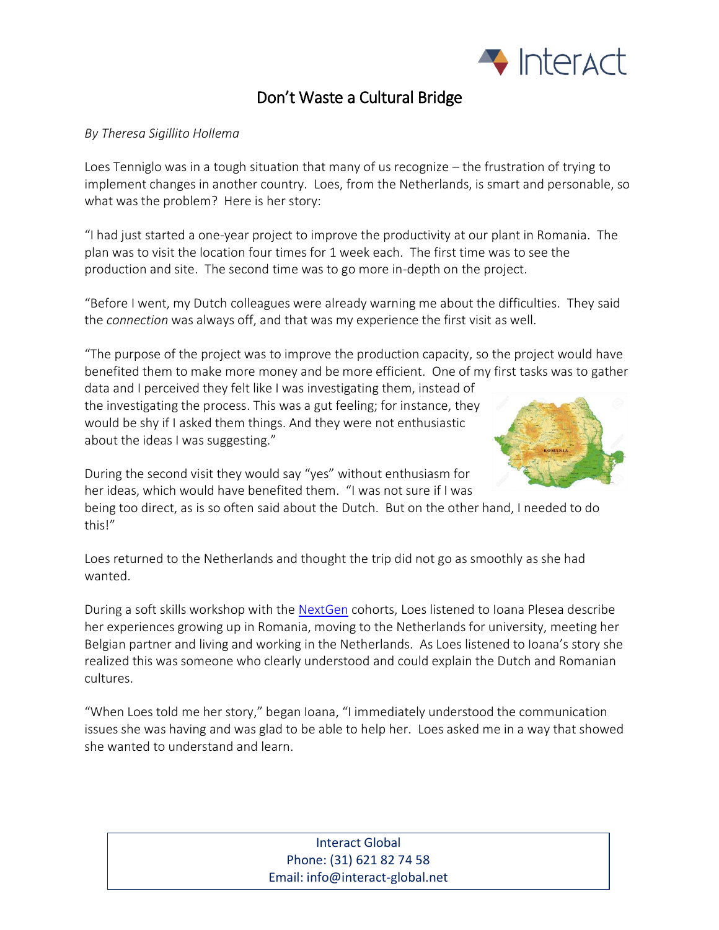

## Don't Waste a Cultural Bridge

## *By Theresa Sigillito Hollema*

Loes Tenniglo was in a tough situation that many of us recognize – the frustration of trying to implement changes in another country. Loes, from the Netherlands, is smart and personable, so what was the problem? Here is her story:

"I had just started a one-year project to improve the productivity at our plant in Romania. The plan was to visit the location four times for 1 week each. The first time was to see the production and site. The second time was to go more in-depth on the project.

"Before I went, my Dutch colleagues were already warning me about the difficulties. They said the *connection* was always off, and that was my experience the first visit as well.

"The purpose of the project was to improve the production capacity, so the project would have benefited them to make more money and be more efficient. One of my first tasks was to gather

data and I perceived they felt like I was investigating them, instead of the investigating the process. This was a gut feeling; for instance, they would be shy if I asked them things. And they were not enthusiastic about the ideas I was suggesting."



During the second visit they would say "yes" without enthusiasm for her ideas, which would have benefited them. "I was not sure if I was

being too direct, as is so often said about the Dutch. But on the other hand, I needed to do this!"

Loes returned to the Netherlands and thought the trip did not go as smoothly as she had wanted.

During a soft skills workshop with the [NextGen](https://www.next-gen.com/en/) cohorts, Loes listened to Ioana Plesea describe her experiences growing up in Romania, moving to the Netherlands for university, meeting her Belgian partner and living and working in the Netherlands. As Loes listened to Ioana's story she realized this was someone who clearly understood and could explain the Dutch and Romanian cultures.

"When Loes told me her story," began Ioana, "I immediately understood the communication issues she was having and was glad to be able to help her. Loes asked me in a way that showed she wanted to understand and learn.

## Interact Global Phone: (31) 621 82 74 58 Email: info@interact-global.net